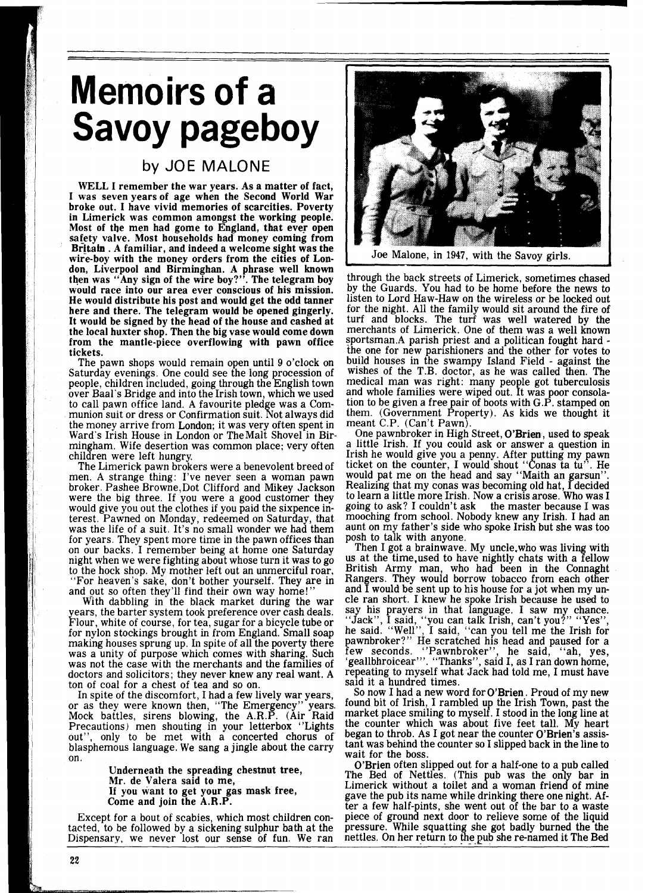## **Memoirs of a Savoy pageboy**

## by JOE MALONE

WELL I remember the war years. As a matter of fact, I was seven years of age when the Second World War in Limerick was common amongst the working people.<br>Most of the men had gome to England, that ever open safety valve. Most households had money coming from<br>Britaln . A familiar, and indeed a welcome sight was the<br>wire-boy with the money orders from the cities of London, Liverpool and Birminghan. A phrase well known then was "Any sign of the wire boy?". The telegram boy would race into our area ever conscious of his mission. He would distribute his post and would get the odd tanner here and there. The telegram would be opened gingerly. It would be signed by the head of the house and cashed at the local huxter shop. Then the big vase would come down from the mantle-piece overflowing with pawn office tickets.

The pawn shops would remain open until 9 o'clock on Saturday evenings. One could see the long procession of people, children included, going through the English town over Baal's Bridge and into the Irish town, which we used to call pawn office land. A favourite pledge was a Communion suit or dress or Confirmation suit. Not always did the money arrive from London; it was very often spent in Ward's Irish House in London or TheMalt Shovel in Birmingham. Wife desertion was common place; very often children were left hungry.

The Limerick pawn brokers were a benevolent breed of men. A strange thing: I've never seen a woman pawn broker. Pashee Browne, Dot Clifford and Mikey Jackson were the big three. If you were a good customer they would give you out the clothes if you paid the sixpence interest. Pawned on Monday, redeemed on Saturday, that was the life of a suit. It's no small wonder we had them for years. They spent more time in the pawn offices than<br>on our backs. I remember being at home one Saturday night when we were fighting about whose turn it was to go to the hock shop. My mother left out an unmerciful roar, "For heaven's sake, don't bother yourself. They are in and out so often they'll find their own way home!

With dabbling in the black market during the war years, the barter system took preference over cash deals. Flour, white of course, for tea, sugar for a bicycle tube or for nylon stockings brought in from England. Small soap for nylon stockings brought in from England. Small soap making houses sprung up. In spite of all the poverty there was a unity of purpose which comes with sharing. Such was not the case with the merchants and the families of doctors and solicitors; they never knew any real want. A ton of coal for a chest of tea and so on.

In spite of the discomfort, I had a few lively war years, or as they were known then, "The Emergency" years. Mock battles, sirens blowing, the A.R.P. (Air Raid Precautions) men shouting in your letterbox "Lights  $\delta$ ut'', only to be met with a concerted chorus of blasphemous language. We sang a jingle about the carry on.

> Underneath the spreading chestnut tree, Mr. de Valera said to me, If you want to get your gas mask free, Come and join the A.R.P.

Except for a bout of scabies, which most children contacted, to be followed by a sickening sulphur bath at the Dispensary, we never lost our sense of fun. We ran



Joe Malone, in 1947, with the Savoy girls.

through the back streets of Limerick, sometimes chased by the Guards. You had to be home before the news to listen to Lord Haw-Haw on the wireless or be locked out for the night. All the family would sit around the fire of turf and blocks. The turf was well watered by the merchants of Limerick. One of them was a well known sportsman.A parish priest and a politican fought hard the one for new parishioners and the other for votes to build houses in the swampy Island Field - against the wishes of the T.B. doctor, as he was called then. The medical man was right: many people got tuberculosis and whole families were wiped out. It was poor consolation to be given a free pair of boots with G.P. stamped on them. (Government Property). As kids we thought it meant C.P. (Can't Pawn).

One pawnbroker in High Street, O'Brien, used to speak a little Irish. If you could ask or answer a question in Irish he would give you a penny. After putting my pawn<br>ticket on the counter, I would shout ''Conas ta tu''. He would pat me on the head and say "Maith an garsun". Realizing that my conas was becoming old hat, I decided to learn a little more Irish. Now a crisis arose. Who was I going to ask? I couldn't ask the master because I was going to ask? I couldn't ask mooching from school. Nobody knew any Irish. I had an aunt on my father's side who spoke Irish but she was too

Then I got a brainwave. My uncle, who was living with us at the time,used to have nightly chats with a **f** ellow British Army man, who had been in the Connaght Rangers. They would borrow tobacco from each other and I would be sent up to his house for a jot when my uncle ran short. I knew he spoke Irish because he used to say his prayers in that language. I saw my chance. "Jack", I said, "you can talk Irish, can't you?" "Yes", he said. "Well", I said, "can you tell me the Irish for pawnbroker?" He scratched his head and paused for a few seconds. ''Pawnbroker'', he said, ''ah, yes,<br>'geallbhroicear'''. ''Thanks'', said I, as I ran down home, repeating to myself what Jack had told me, I must have said it a hundred times.

So now I had a new word for 0'Brien. Proud of my new found bit of Irish, I rambled up the Irish Town, past the market place smiling to myself I stood in the long line at the counter which was about five feet tall. My heart began to throb. As I got near the counter O'Brien's assistant was behind the counter so I slipped back in the line to wait for the boss.

O'Brien often slipped out for a half-one to a pub called The Bed of Nettles. (This pub was the only bar in<br>Limerick without a toilet and a woman friend of mine gave the pub its name while drinking there one night. After a few half-pints, she went out of the bar to a waste piece of ground next door to relieve some of the liquid pressure. While squatting she got badly burned the the nettles. On her return to the pub she re-named it The Bed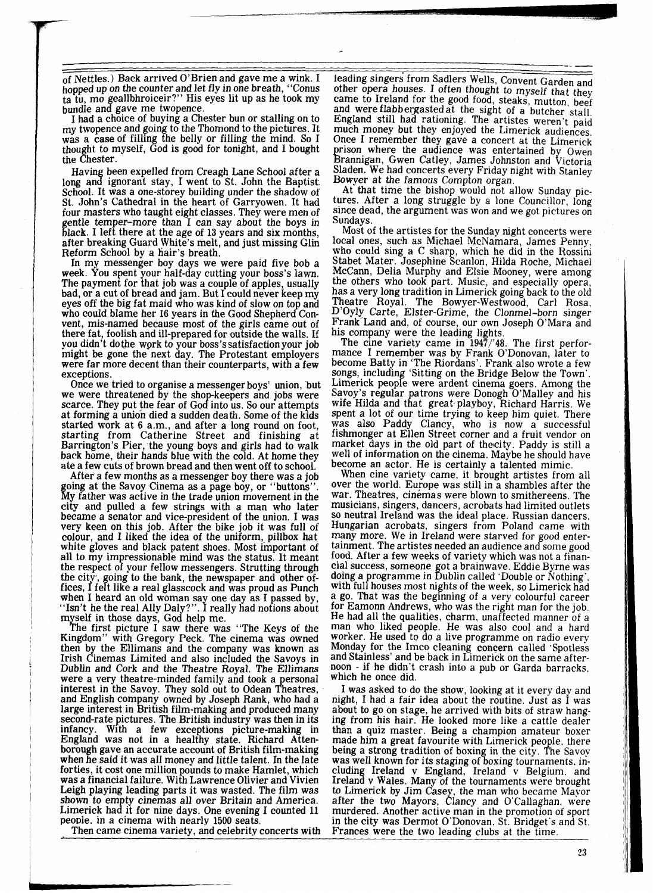of Nettles.) Back arrived O'Brien and gave me a wink. I<br>hopped up on the counter and let fly in one breath. "Conus hopped up on the counter and let fly in one breath, "Conus ta tu, mo geallbhroiceir?" His eyes lit up as he took my bundle and gave me twopence. bundle and gave me twopence.<br>I had a choice of buying a Chester bun or stalling on to

my twopence and going to the Thomond to the pictures. It was a case of filling the belly or filling the mind. So I thought to myself, God is good for tonight, and I bought the Chester.

Having been expelled from Creagh Lane School after a long and ignorant stay, I went to St. John the Baptist. School. It was a one-storey building under the shadow of St. John's Cathedral in the heart of Garryowen. It had four masters who taught eight classes. They were men of gentle temper-more than I can say about the boys in black. I left there at the age of **13** years and six months, after breaking Guard White's melt, and just missing Glin Reform School by a hair's breath.

In my messenger boy days we were paid five bob a week. You spent your half-day cutting your boss's lawn.<br>The payment for that job was a couple of apples, usually bad, or a cut of bread and jam. But I could never keep my eyes off the big fat maid who was kind of slow on top and who could blame her 16 years in the Good Shepherd Convent, mis-named because most of the girls came out of there fat, foolish and ill-prepared for outside the walls. If you didn't dothe wprk to your boss's satisfaction your job might be gone the next day. The Protestant em loyers were far more decent than their counterparts, with a few exceptions.

Once we tried to organise a messenger boys' union, but we were threatened by the shop-keepers and jobs were scarce. They put the fear of God into us. So our attempts at forming a union died a sudden death. Some of the kids started work at 6 a.m., and after a long round on foot, starting from Catherine Street and finishing at Barrington's Pier, the young boys and girls had to walk back home, their hands blue with the cold. At home they

ate a few cuts of brown bread and then went off to school.<br>After a few months as a messenger boy there was a job going at the Savoy Cinema as a page boy, or "buttons" My father was active in the trade union movement in the city and pulled a few strings with a man who later became a senator and vice-president of the union. I was very keen on this job. After the bike job it was full of colour, and I liked the idea of the uniform, pillbox hat white gloves and black patent shoes. Most important of all to my impressionable mind was the status. It meant the respect of your fellow messengers. Strutting through the respect of your fellow messengers. Strutting through the city, going to the bank, the newspaper and other offices, I felt like a real glasscock and was proud as Punch when I heard an old woman say one day as I passed by, 'Isn't he the real Ally Daly?''. I really had notions about myself in those days, God help me.

The first picture I saw there was "The Keys of the Kingdom" with Gregory Peck. The cinema was owned then by the Ellimans and the company was known as Irish Cinemas Limited and also included the Savoys in Dublin and Cork and the Theatre Royal. The Ellimans interest in the Savoy. They sold out to Odean Theatres, and English company owned by Joseph Rank, who had a large interest in British film-making and produced many second-rate pictures. The British industry was then in its infancy. With a few exceptions picture-making in England was not in a healthy state. Richard Atten-<br>borough gave an accurate account of British film-making when he said it was all money and little talent. In the late forties, it cost one million pounds to make Hamlet, which was a financial failure. With Lawrence Olivier and Vivien Leigh playing leading parts it was wasted. The film was shown to empty cinemas all over Britain and America. Limerick had it for nine days. One evening I counted 11 people. in a cinema with nearly 1500 seats.

Then came cinema variety, and celebrity concerts with

-. leading singers from Sadlers Wells, Convent Garden and other opera houses. **I** often thought to myself that they came to Ireland for the good food, steaks, mutton, beef and were flabbergasted at the sight of a butcher stall. England still had rationing. The artistes weren't paid much money but they enjoyed the Limerick audiences. Once I remember they gave a concert at the Limerick prison where the audience was entertained by Owen<br>Brannigan, Gwen Catley, James Johnston and Victoria Sladen. We had concerts every Friday night with Stanley

Bowyer at the famous Compton organ.<br>At that time the bishop would not allow Sunday pictures. After a long struggle by a lone Councillor, long since dead, the argument was won and we got pictures on Sundays.

Most of the artistes for the Sunday night concerts were local ones, such as Michael McNamara, James Penny. local ones, such as Michael McNamara, James Penny, who could sing a C sharp, which he did in the Rossini Stabet Mater. Josephine Scanlon, Hilda Roche, Michael McCann, Delia Murphy and Elsie Mooney, were among the others who took part. Music, and especially opera, has a very long tradition in Limerick going back to the old Theatre Royal. The Bowyer-Westwood, Car1 Rosa, D'Oyly Carte, Elster-Grime, the Clonmel-born singer Frank Land and, of course, our own Joseph O'Mara and

his company were the leading lights. The cine variety came in **1947/'48.** The first performance I remember was by Frank O'Donovan, later to become Batty in 'The Riordans'. Frank also wrote a few songs, including 'Sitting on the Bridge Below the Town'. Limerick people were ardent cinema goers. Among the Savoy's regular patrons were Donogh O'Malley and his wife Hilda and that great-playboy, Richard Harris. We spent a lot of our time trying to keep him quiet. There was also Paddy Clancy, who is now a successful fishmonger at Ellen Street corner and a fruit vendor on market days in the old part of thecity. Paddy is still a well of information on the cinema. Maybe he should have become an actor. He is certainly a talented mimic.

When cine variety came, it brought artistes from all over the world. Europe was still in a shambles after the war. Theatres, cinemas were blown to smithereens. The musicians, singers, dancers, acrobats had limited outlets so neutral Ireland was the ideal place. Russian dancers. Hungarian acrobats, singers from Poland came with many more. We in Ireland were starved for good entertainment. The artistes needed an audience and some good food. After a few weeks of variety which was not a financial success, someone got a brainwave. Eddie Byrne was doing a programme in Dublin called 'Double or Nothing'. with full houses most nights of the week, so Limerick had a go. That was the beginning of a very colourful career for Eamonn Andrews, who was the right man for the job. He had all the qualities, charm, unaffected manner of a man who liked people. He was also cool and a hard worker. He used to do a live programme on radio every Wonday for the Imco cleaning concern called 'Spotless and Stainless' and be back in Limerick on the same afternoon - if he didn't crash into a pub or Garda barracks. which he once did.

I was asked to do the show, looking at it every day and night, I had a fair idea about the routine. Just as I was about to go on stage, he arrived with bits of straw hang-<br>ing from his hair. He looked more like a cattle dealer than a quiz master. Being a champion amateur boxer made him a great favourite with Limerick people, there being a strong tradition of boxing in the city. The Savoy was well known for its staging of boxing tournaments. including Ireland v England, Ireland v Belgium. and Ireland v Wales. Many of the tournaments were brought to Limerick by Jim Casey, the man who became Mayor after the two Mayors, Clancy and O'Callaghan, were murdered. Another active man in the promotion of sport in the city was Dermot O'Donovan. St. Bridget's and St. Frances were the two leading clubs at the time.